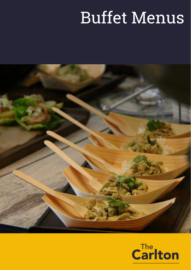# Buffet Menus



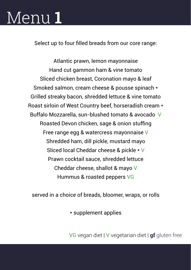## Menu **1**

Select up to four filled breads from our core range:

Atlantic prawn, lemon mayonnaise Hand cut gammon ham & vine tomato Sliced chicken breast, Coronation mayo & leaf Smoked salmon, cream cheese & pousse spinach \* Grilled streaky bacon, shredded lettuce & vine tomato Roast sirloin of West Country beef, horseradish cream \* Buffalo Mozzarella, sun-blushed tomato & avocado V Roasted Devon chicken, sage & onion stuffing Free range egg & watercress mayonnaise V Shredded ham, dill pickle, mustard mayo Sliced local Cheddar cheese & pickle \* V Prawn cocktail sauce, shredded lettuce Cheddar cheese, shallot & mayo V Hummus & roasted peppers VG

served in a choice of breads, bloomer, wraps, or rolls

\* supplement applies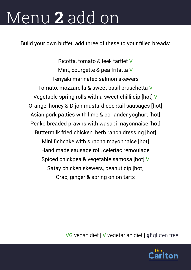# Menu **2** add on

Build your own buffet, add three of these to your filled breads:

Ricotta, tomato & leek tartlet V Mint, courgette & pea fritatta V Teriyaki marinated salmon skewers Tomato, mozzarella & sweet basil bruschetta V Vegetable spring rolls with a sweet chilli dip [hot] V Orange, honey & Dijon mustard cocktail sausages [hot] Asian pork patties with lime & coriander yoghurt [hot] Penko breaded prawns with wasabi mayonnaise [hot] Buttermilk fried chicken, herb ranch dressing [hot] Mini fishcake with siracha mayonnaise [hot] Hand made sausage roll, celeriac remoulade Spiced chickpea & vegetable samosa [hot] V Satay chicken skewers, peanut dip [hot] Crab, ginger & spring onion tarts

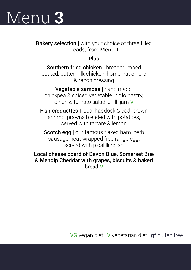# Menu **3**

**Bakery selection I** with your choice of three filled breads, from Menu 1,

Plus

Southern fried chicken I breadcrumbed coated, buttermilk chicken, homemade herb & ranch dressing

Vegetable samosa I hand made. chickpea & spiced vegetable in filo pastry, onion & tomato salad, chilli jam V

**Fish croquettes I** local haddock & cod, brown shrimp, prawns blended with potatoes, served with tartare & lemon

Scotch egg I our famous flaked ham, herb sausagemeat wrapped free range egg, served with picalilli relish

Local cheese board of Devon Blue, Somerset Brie & Mendip Cheddar with grapes, biscuits & baked bread V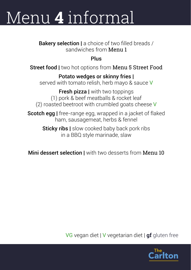# Menu **4** informal

Bakery selection | a choice of two filled breads / sandwiches from Menu 1

Plus

Street food I two hot options from Menu 5 Street Food

#### Potato wedges or skinny fries |

served with tomato relish, herb mayo & sauce V

**Fresh pizza I** with two toppings (1) pork & beef meatballs & rocket leaf (2) roasted beetroot with crumbled goats cheese V

Scotch egg | free-range egg, wrapped in a jacket of flaked ham, sausagemeat, herbs & fennel

> **Sticky ribs** | slow cooked baby back pork ribs in a BBQ style marinade, slaw

Mini dessert selection I with two desserts from Menu 10

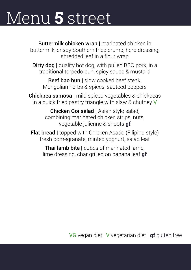## Menu **5** street

**Buttermilk chicken wrap | marinated chicken in** buttermilk, crispy Southern fried crumb, herb dressing, shredded leaf in a flour wrap

Dirty dog | quality hot dog, with pulled BBQ pork, in a traditional torpedo bun, spicy sauce & mustard

Beef bao bun I slow cooked beef steak. Mongolian herbs & spices, sauteed peppers

**Chickpea samosa I** mild spiced vegetables & chickpeas in a quick fried pastry triangle with slaw & chutney V

> Chicken Goi salad | Asian style salad, combining marinated chicken strips, nuts, vegetable julienne & shoots **gf**

**Flat bread | topped with Chicken Asado (Filipino style)** fresh pomegranate, minted yoghurt, salad leaf

**Thai lamb bite I** cubes of marinated lamb. lime dressing, char grilled on banana leaf **gf**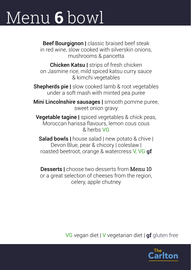# Menu **6** bowl

Beef Bourgignon | classic braised beef steak in red wine, slow cooked with silverskin onions, mushrooms & pancetta

**Chicken Katsu | strips of fresh chicken** on Jasmine rice, mild spiced katsu curry sauce & kimchi vegetables

Shepherds pie | slow cooked lamb & root vegetables under a soft mash with minted pea puree

**Mini Lincolnshire sausages** | smooth pomme puree, sweet onion gravy

Vegetable tagine | spiced vegetables & chick peas, Moroccan harissa flavours, lemon cous cous & herbs VG

Salad bowls I house salad I new potato & chive I Devon Blue, pear & chicory | coleslaw | roasted beetroot, orange & watercress V, VG **gf**

Desserts I choose two desserts from Menu 10 or a great selection of cheeses from the region, celery, apple chutney

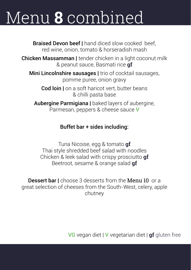# Menu **8** combined

Braised Devon beef I hand diced slow cooked beef, red wine, onion, tomato & horseradish mash Chicken Massamman | tender chicken in a light coconut milk & peanut sauce, Basmati rice **gf** Mini Lincolnshire sausages I trio of cocktail sausages, pomme puree, onion gravy Cod loin I on a soft haricot vert, butter beans & chilli pasta base **Aubergine Parmigiana I** baked layers of aubergine. Parmesan, peppers & cheese sauce V

### Buffet bar + sides including:

Tuna Nicoise, egg & tomato **gf** Thai style shredded beef salad with noodles Chicken & leek salad with crispy prosciutto **gf** Beetroot, sesame & orange salad **gf**

**Dessert bar I** choose 3 desserts from the **Menu 10** or a great selection of cheeses from the South-West, celery, apple chutney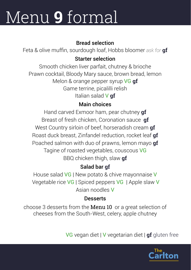# Menu **9** formal

### Bread selection

Feta & olive muffin, sourdough loaf, Hobbs bloomer *ask for* **gf**

### Starter selection

Smooth chicken liver parfait, chutney & brioche Prawn cocktail, Bloody Mary sauce, brown bread, lemon Melon & orange pepper syrup VG **gf** Game terrine, picalilli relish Italian salad V **gf**

### Main choices

Hand carved Exmoor ham, pear chutney **gf** Breast of fresh chicken, Coronation sauce **gf** West Country sirloin of beef, horseradish cream **gf** Roast duck breast, Zinfandel reduction, rocket leaf **gf** Poached salmon with duo of prawns, lemon mayo **gf** Tagine of roasted vegetables, couscous VG BBQ chicken thigh, slaw **gf**

### Salad bar **gf**

House salad VG | New potato & chive mayonnaise V Vegetable rice VG | Spiced peppers VG| Apple slaw V Asian noodles V

### **Desserts**

choose 3 desserts from the Menu 10 or a great selection of cheeses from the South-West, celery, apple chutney

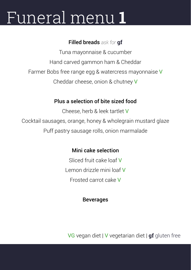# Funeral menu **1**

### Filled breads *ask for* **gf**

Tuna mayonnaise & cucumber Hand carved gammon ham & Cheddar Farmer Bobs free range egg & watercress mayonnaise V Cheddar cheese, onion & chutney V

### Plus a selection of bite sized food

Cheese, herb & leek tartlet V Cocktail sausages, orange, honey & wholegrain mustard glaze Puff pastry sausage rolls, onion marmalade

### Mini cake selection

Sliced fruit cake loaf V Lemon drizzle mini loaf V Frosted carrot cake V

#### Beverages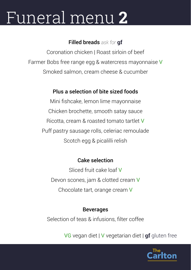# Funeral menu **2**

### Filled breads *ask for* **gf**

Coronation chicken | Roast sirloin of beef Farmer Bobs free range egg & watercress mayonnaise V Smoked salmon, cream cheese & cucumber

### Plus a selection of bite sized foods

Mini fishcake, lemon lime mayonnaise Chicken brochette, smooth satay sauce Ricotta, cream & roasted tomato tartlet V Puff pastry sausage rolls, celeriac remoulade Scotch egg & picalilli relish

### Cake selection

Sliced fruit cake loaf V Devon scones, jam & clotted cream V Chocolate tart, orange cream V

### Beverages

Selection of teas & infusions, filter coffee